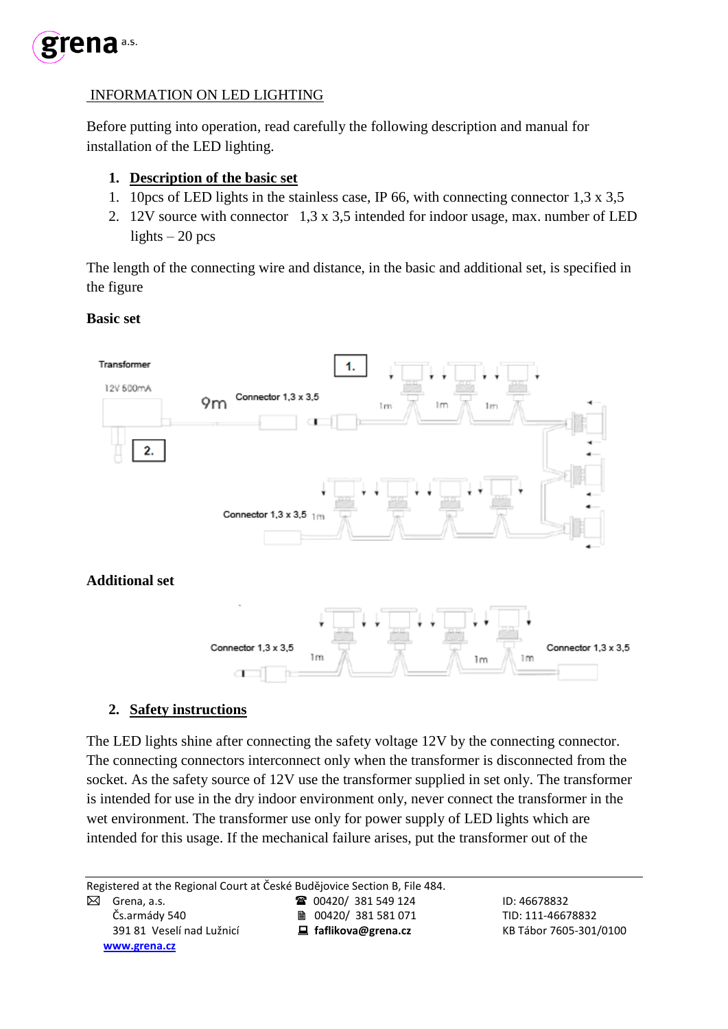

## INFORMATION ON LED LIGHTING

Before putting into operation, read carefully the following description and manual for installation of the LED lighting.

### **1. Description of the basic set**

- 1. 10pcs of LED lights in the stainless case, IP 66, with connecting connector 1,3 x 3,5
- 2. 12V source with connector 1,3 x 3,5 intended for indoor usage, max. number of LED lights  $-20$  pcs

The length of the connecting wire and distance, in the basic and additional set, is specified in the figure

#### **Basic set**



#### **2. Safety instructions**

The LED lights shine after connecting the safety voltage 12V by the connecting connector. The connecting connectors interconnect only when the transformer is disconnected from the socket. As the safety source of 12V use the transformer supplied in set only. The transformer is intended for use in the dry indoor environment only, never connect the transformer in the wet environment. The transformer use only for power supply of LED lights which are intended for this usage. If the mechanical failure arises, put the transformer out of the